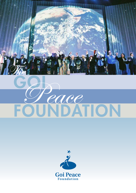

# GOI FOUNDATION Peace

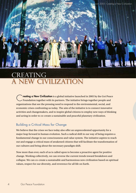## CREATING a new civilization

reating a New Civilization is a global initiative launched in 2005 by the Goi Peace Foundation together with its partners. The initiative brings together people and organizations that see the pressing need to respond to the environmental, social, and economic crises confronting us today. The aim of the initiative is to connect innovative activities and changemakers, and to inspire global citizens to employ new ways of thinking and acting in order to co-create a sustainable and peaceful planetary civilization.

#### Building a Critical Mass for Change

We believe that the crises we face today also offer an unprecedented opportunity for a major leap forward in human evolution. Such a radical shift in our way of being requires a fundamental change in our consciousness and value system. The initiative aspires to reach out and engage a critical mass of awakened citizens that will facilitate the transformation of our cultures and bring about the necessary paradigm shift.

Now more than ever, each of us is called upon to become a proactive agent for positive change. Working collectively, we can reverse the current trends toward breakdown and collapse. We can co-create a sustainable and harmonious new civilization based on spiritual values, respect for our diversity, and reverence for all life on Earth.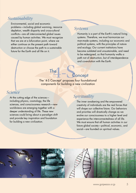#### *Sustainability*

Environmental, social and economic problems—including global warming, resource depletion, wealth disparity and cross-cultural conflicts—are all interconnected global issues caused by human activities. We must recognize that we are at a bifurcation point, where we either continue on the present path toward destruction or choose the path to a sustainable future for the Earth and all life on it.

#### *Systems*

Humanity is a part of the Earth's natural living systems. Therefore, we must harmonize our man-made systems, including our economic and political systems, with the principles of nature and ecology. Our current institutions have become outdated and unsustainable, and need to be redesigned, so that humanity walks a path not of destruction, but of interdependence and co-evolution with the Earth.

The The The Concept' proposes f The Concept

The '4-S Concept' proposes four foundational components for building a new civilization

#### *Science*

At the cutting edge of the sciencesincluding physics, cosmology, the life sciences, and consciousness research—new worldviews are emerging together with a deeper understanding of life. These new sciences could bring about a paradigm shift and provide key inspiration and foundation for building a new civilization.

#### *Spirituality*

The inner awakening and the empowered creativity of individuals are the real forces that will shape our collective future. Our behaviors and priorities will drastically change as we evolve our consciousness to a higher level and experience the interconnectedness of all life. We must ensure that all human activities in our future global society—political, economic, and social—are founded on spiritual values.

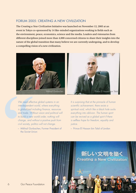#### Forum 2005: Creating a New Civilization

The *Creating a New Civilization* Initiative was launched on November 12, 2005 at an event in Tokyo co-sponsored by 14 like-minded organizations working in fields such as the environment, peace, economics, science and the media. Leaders and visionaries from different disciplines joined more than 4,000 concerned citizens to share their insights into the nature of the global transition that many believe we are currently undergoing, and to develop a compelling vision of a new civilization.



We need effect<br>
interdependent<br>
is globalized income to such an and trade. With<br>
to build a new v<br>
change, and wi<br>
civil society, pol<br>
– Mikhail Gorbi<br>
the Soviet Uni *We need effective global systems in an interdependent world, where everything is globalized including finance, resources and trade. Without vision and political will to build a new world order, nothing will change, and without a positive push from civil society, politics will not change.* 

– Mikhail Gorbachev, Former President of the Soviet Union



*It is surprising that at the pinnacle of human scientific achievement, there exists a spiritual void, which like a black hole sucks everything into oblivion. The human spirit can be revived as a global spirit if there is selfless hope for freedom, equality and justice.*

– Prince El Hassan bin Talal of Jordan

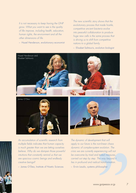*It is not necessary to keep having the GNP grow. What you want to see is the quality of life improve, including health, education, human rights, the environment and all the other dimensions of life.*

– Hazel Henderson, evolutionary economist

*The new scientific story shows that the evolutionary process that made hostile, competitive ancient bacteria evolve into peaceful collaboration to produce huge new cells is the same process that is driving us to shift from competitive nations to a global family.*

– Elisabet Sahtouris, evolution biologist



*An accumulation of scientific research from multiple fields indicates that human capacity is much greater than we are letting ourselves believe. Why do we dampen those powerful intuitions that constantly remind us that we are spacious cosmic beings and endlessly creative beings?*

– James O'Dea, Institute of Noetic Sciences

nent that will<br>non-linear chaos<br>m evolution. The<br>beriencing will not<br>d tested measures,<br>The way beyond it<br>cal transformation.<br>hilosopher<br>w.goipeace.or.jp *The dynamic of development that will apply to our future is the non-linear chaos dynamic of complex-system evolution. The crisis we are currently experiencing will not be overcome by tried and tested measures, carried out step by step. The way beyond it lies in profound and radical transformation.*

– Ervin Laszlo, systems philosopher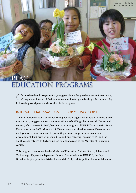## ACE **DUCATION PROGRAMS**

**ur educational programs** for young people are designed to nurture inner peace, respect for life and global awareness, emphasizing the leading role they can play in fostering world peace and sustainable development.

#### International Essay Contest for Young People

The International Essay Contest for Young People is organized annually with the aim of motivating young people to actively contribute to building a better world. The annual contest, which started in 2000, has been a joint program of UNESCO and the Goi Peace Foundation since 2007. More than 4,000 entries are received from over 130 countries each year on a theme relevant to promoting a culture of peace and sustainable development. First prize winners in the children's category (ages up to 14) and the youth category (ages 15-25) are invited to Japan to receive the Minister of Education Award.

This program is endorsed by the Ministry of Education, Culture, Sports, Science and Technology of Japan, the Japanese National Commission for UNESCO, the Japan Broadcasting Corporation, Nikkei Inc., and the Tokyo Metropolitan Board of Education.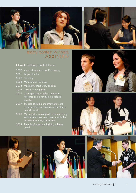



### essay contest winners 2000-2009

#### International Essay Contest Themes

- 2000 Vision of peace for the 21st century
- 2001 Respect for life
- 2002 Harmony
- 2003 My vision for the future
- 2004 Making the most of my qualities
- 2005 Caring for our planet
- 2006 Learning to live together: promoting tolerance and diversity in globalized societies
- 2007 The role of media and information and communication technologies in building a peaceful world
- 2008 My project to create positive change in my environment. How can I foster sustainable development in my community?
- 2009 The role of science in building a better world









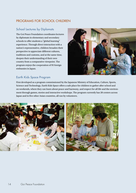#### Programs for School Children

#### School Lectures by Diplomats

The Goi Peace Foundation coordinates lectures by diplomats in elementary and secondary schools to offer students a "global learning" experience. Through direct interaction with a nation's representative, children broaden their perspective to appreciate different cultures, traditions and customs, and at the same time, deepen their understanding of their own country from a comparative viewpoint. The program enjoys the cooperation of 95 foreign embassies in Japan.



#### Earth Kids Space Program

First developed as a program commissioned by the Japanese Ministry of Education, Culture, Sports, Science and Technology, Earth Kids Space offers a safe place for children to gather after school and on weekends, where they can learn about peace and harmony, and respect for all life and the environment through games, stories and interactive workshops. The program currently has 28 centers across Japan and in five other Asian countries, all run by volunteers.

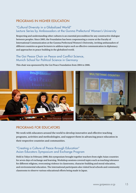#### Programs in Higher Education

#### "Cultural Diversity in a Globalized World" Lecture Series by Ambassadors at the Gunma Prefectural Women's University

Respecting and understanding other cultures is an essential precondition for any constructive dialogue between peoples. Since 2005, the Foundation has been cosponsoring a course at the Faculty of International Communication at the Gunma Prefectural Women's University, inviting ambassadors of different countries as guest lecturers to address topics such as effective communication in diplomacy and approaches to peace building in the globalized world.

#### The Goi Peace Chair on Peace and Conflict Science, Munich School for Political Science in Germany

This chair was sponsored by the Goi Peace Foundation from 2004 to 2006.



#### Programs for Educators

We work with educators around the world to develop innovative and effective teaching programs, activities and methodologies, and support them in advancing peace education in their respective countries and communities.

#### "Creating a Culture of Peace through Education" Asian Educators Symposium and Exchange Program

Held in Tokyo in February 2008, this symposium brought together teachers from eight Asian countries for seven days of exchange and learning. Workshop sessions covered topics such as teaching tolerance for different religions, overcoming violence in classrooms, character building and moral education, and environmental education. The international participants also visited local schools and community classrooms to observe various educational efforts being made in Japan.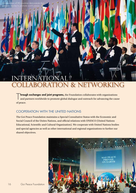## international PRATION & NETWORKING

T hrough exchanges and joint programs, the Foundation collaborates with organizations and partners worldwide to promote global dialogue and outreach for advancing the cause of peace.

#### Cooperation with the United Nations

The Goi Peace Foundation maintains a Special Consultative Status with the Economic and Social Council of the Unites Nations, and official relations with UNESCO (United Nations Educational, Scientific and Cultural Organization). We cooperate with United Nations bodies and special agencies as well as other international and regional organizations to further our shared objectives.

![](_page_9_Picture_4.jpeg)

Ambassadors of 90 countries demonstrate

common resolve to promo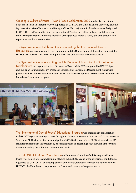Creating a Culture of Peace – World Peace Celebration 2000 was held at the Nippon Budokan in Tokyo in September 2000, supported by UNESCO, the United Nations University, and the Japanese Ministries of Education and Foreign Affairs. This major multicultural event was designated by UNESCO as a Flagship Event for the International Year for the Culture of Peace, and drew more than 10,000 participants, including members of the Japanese imperial family and ambassadors and representatives from 90 countries.

#### The Symposium and Exhibition Commemorating the International Year of

Ecotourism was cosponsored by the Foundation and the United Nations Information Centre at the UN House in Tokyo in July 2002, in conjunction with a photo exhibition on ecotourism.

The Symposium Commemorating the UN Decade of Education for Sustainable Development was organized at the UN House in Tokyo in July 2005, supported by UNIC Tokyo and the Japan Council on the UN Decade of Education for Sustainable Development. Along with promoting the Culture of Peace, Education for Sustainable Development (ESD) has been a focus of the Foundation's education programs.

![](_page_10_Picture_4.jpeg)

The 'International Day of Peace' Educational Program was organized in collaboration with UNIC Tokyo to encourage schools throughout Japan to observe the International Day of Peace on September 21. During the 3-year campaign from 2003-2005, a total of over 98,000 students from 235 schools participated in the program by celebrating peace and learning about the work of the United Nations including the Millenium Development Goals.

The 1st UNESCO Asian Youth Forum on "Intercultural and Interfaith Dialogue to Ensure Peace" was held in Jeju Island, Republic of Korea in June 2007 as one of the six regional youth forums organized by UNESCO. As an ongoing partner of the Youth, Sport and Physical Education Section at UNESCO, the Foundation co-sponsored the Forum and sent a youth representative.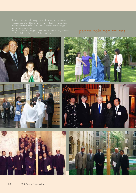Clockwise from top left: League of Arab States; World Health Organization; World Bank Group; World Trade Organization; Commissioner for Refugees.

Opposite page, left to right: International Atomic Energy Agency peace pole dedications<br>and Association of South East Asian Nations.

![](_page_11_Picture_3.jpeg)

![](_page_11_Picture_4.jpeg)

![](_page_11_Picture_5.jpeg)

![](_page_11_Picture_6.jpeg)

![](_page_11_Picture_7.jpeg)